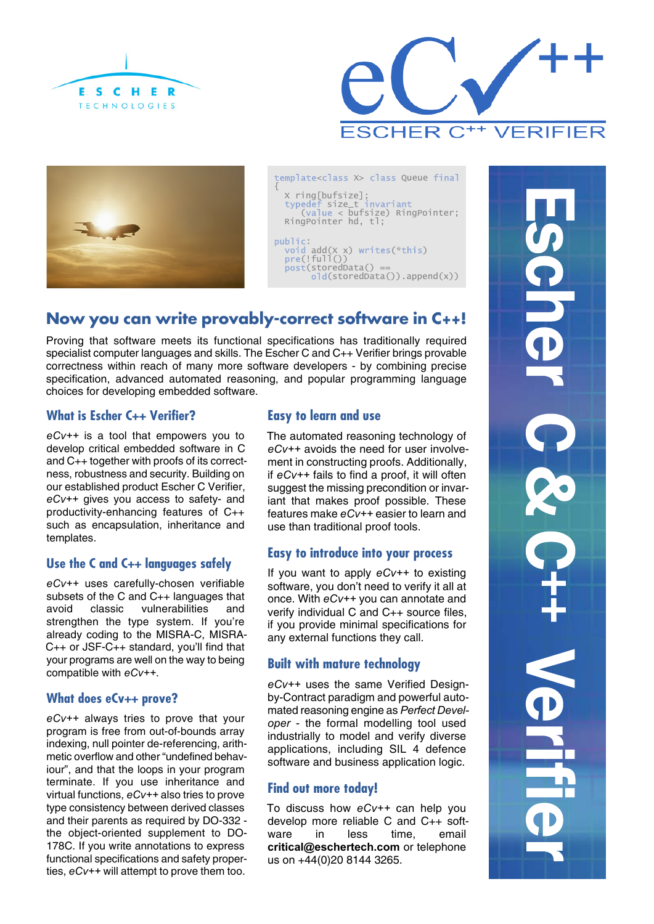





template<class X> class Queue final { X ring[bufsize]; size\_t (value < bufsize) RingPointer; RingPointer hd, tl; public:  $add(X \times)$  writes(\*this)  $(!full())$  $post(storedbata() =$ 

### old(storedData()).append(x))

## **Now you can write provably-correct software in C++!**

Proving that software meets its functional specifications has traditionally required specialist computer languages and skills. The Escher C and C++ Verifier brings provable correctness within reach of many more software developers - by combining precise specification, advanced automated reasoning, and popular programming language choices for developing embedded software.

### **What is Escher C++ Verifier?**

*eCv++* is a tool that empowers you to develop critical embedded software in C and C++ together with proofs of its correctness, robustness and security. Building on our established product Escher C Verifier, *eCv++* gives you access to safety- and productivity-enhancing features of C++ such as encapsulation, inheritance and templates.

### **Use the C and C++ languages safely**

*eCv++* uses carefully-chosen verifiable subsets of the C and C++ languages that avoid classic vulnerabilities and strengthen the type system. If you're already coding to the MISRA-C, MISRA-C++ or JSF-C++ standard, you'll find that your programs are well on the way to being compatible with *eCv++*.

### **What does eCv++ prove?**

*eCv++* always tries to prove that your program is free from out-of-bounds array indexing, null pointer de-referencing, arithmetic overflow and other "undefined behaviour", and that the loops in your program terminate. If you use inheritance and virtual functions, *eCv++* also tries to prove type consistency between derived classes and their parents as required by DO-332 the object-oriented supplement to DO-178C. If you write annotations to express functional specifications and safety properties, *eCv++* will attempt to prove them too.

### **Easy to learn and use**

The automated reasoning technology of *eCv++* avoids the need for user involvement in constructing proofs. Additionally, if *eCv++* fails to find a proof, it will often suggest the missing precondition or invariant that makes proof possible. These features make *eCv++* easier to learn and use than traditional proof tools.

### **Easy to introduce into your process**

If you want to apply *eCv++* to existing software, you don't need to verify it all at once. With *eCv++* you can annotate and verify individual C and C++ source files, if you provide minimal specifications for any external functions they call.

### **Built with mature technology**

*eCv++* uses the same Verified Designby-Contract paradigm and powerful automated reasoning engine as *Perfect Developer* - the formal modelling tool used industrially to model and verify diverse applications, including SIL 4 defence software and business application logic.

### **Find out more today!**

To discuss how *eCv++* can help you develop more reliable C and C++ software in less time, email **critical@eschertech.com** or telephone us on +44(0)20 8144 3265.